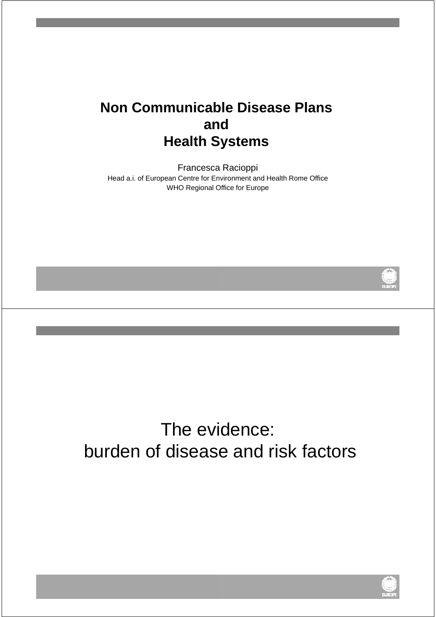### **Non Communicable Disease Plans and Health Systems**

Francesca Racioppi Head a.i. of European Centre for Environment and Health Rome Office WHO Regional Office for Europe



# The evidence: burden of disease and risk factors

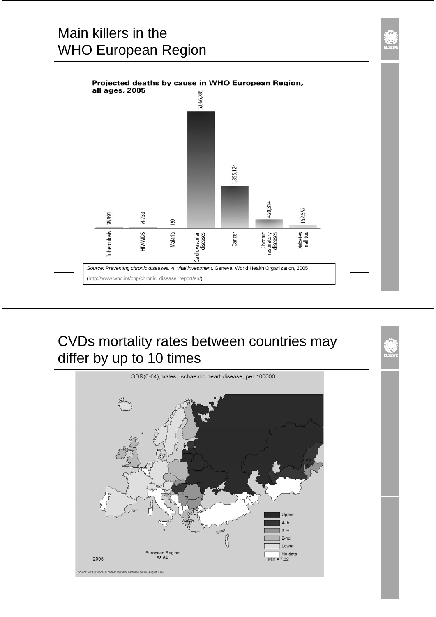## Main killers in the WHO European Region



### CVDs mortality rates between countries may differ by up to 10 times

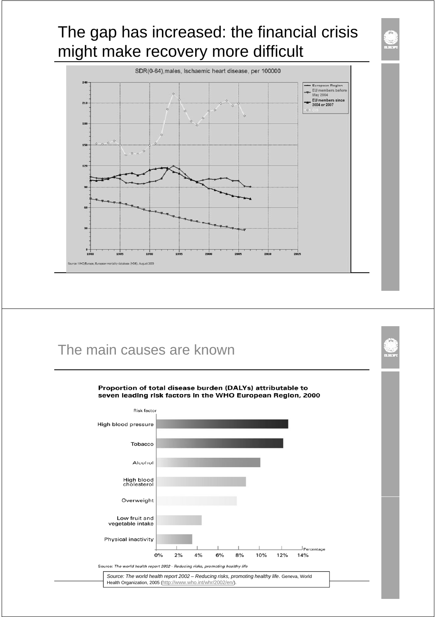# The gap has increased: the financial crisis might make recovery more difficult



#### The main causes are known



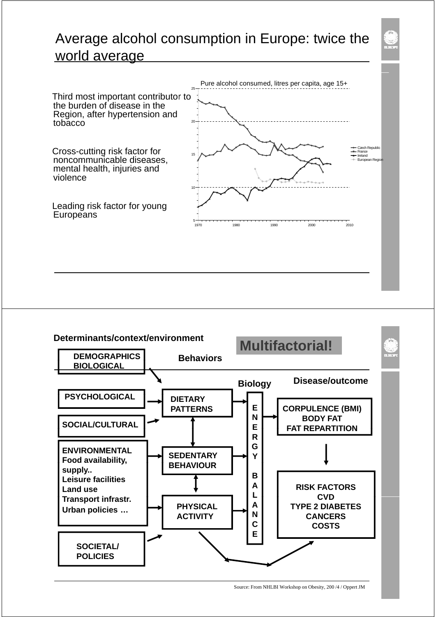### Average alcohol consumption in Europe: twice the world average



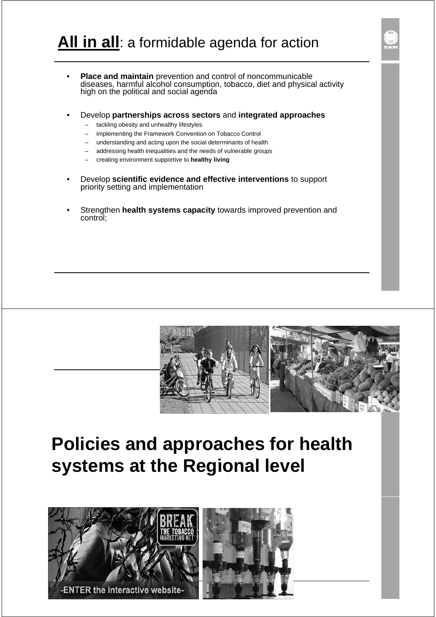- **Place and maintain** prevention and control of noncommunicable diseases, harmful alcohol consumption, tobacco, diet and physical activity high on the political and social agenda
- Develop **partnerships across sectors** and **integrated approaches**
	- tackling obesity and unhealthy lifestyles
	- implementing the Framework Convention on Tobacco Control
	- understanding and acting upon the social determinants of health
	- addressing health inequalities and the needs of vulnerable groups
	- creating environment supportive to **healthy living**
- Develop **scientific evidence and effective interventions** to support priority setting and implementation
- Strengthen **health systems capacity** towards improved prevention and control;



# **Policies and approaches for health systems at the Regional level**

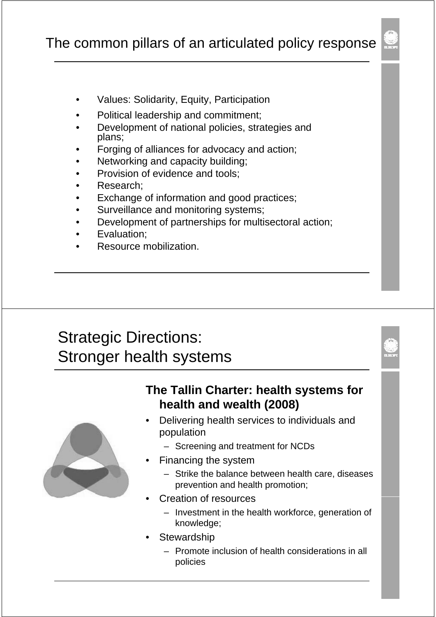- Values: Solidarity, Equity, Participation
- Political leadership and commitment;
- Development of national policies, strategies and plans;
- Forging of alliances for advocacy and action;
- Networking and capacity building;
- Provision of evidence and tools:
- Research:
- Exchange of information and good practices;
- Surveillance and monitoring systems;
- Development of partnerships for multisectoral action;
- Evaluation;
- Resource mobilization.

## Strategic Directions: Stronger health systems



#### **The Tallin Charter: health systems for health and wealth (2008)**

- Delivering health services to individuals and population
	- Screening and treatment for NCDs
	- Financing the system
		- Strike the balance between health care, diseases prevention and health promotion;
- **Creation of resources** 
	- Investment in the health workforce, generation of knowledge;
- **Stewardship** 
	- Promote inclusion of health considerations in all policies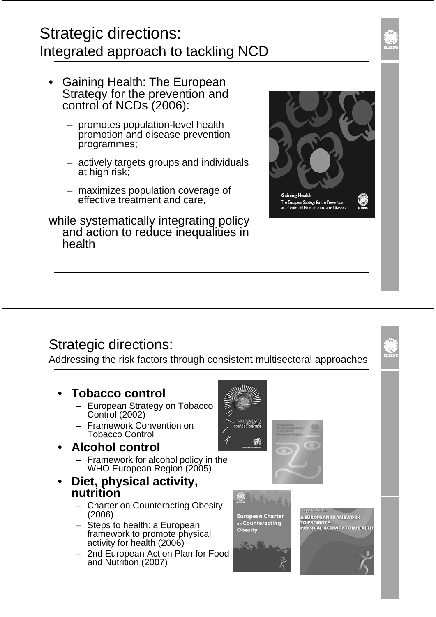## Strategic directions: Integrated approach to tackling NCD

- **Gaining Health: The European** Strategy for the prevention and control of NCDs (2006):
	- promotes population-level health promotion and disease prevention programmes;
	- actively targets groups and individuals at high risk:
	- $-$  maximizes population coverage of effective treatment and care,
- while systematically integrating policy and action to reduce inequalities in health



#### Strategic directions:

Addressing the risk factors through consistent multisectoral approaches

- **Tobacco control Tobacco**
	- European Strategy on Tobacco Control (2002)
	- Framework Convention on Tobacco Control
- **Alcohol control**
	- Framework for alcohol policy in the WHO European Region (2005)
- **Diet, physical activity, nutrition**
	- Charter on Counteracting Obesity (2006)
	- Steps to health: a European framework to promote physical activity for health (2006)
	- 2nd European Action Plan for Food and Nutrition (2007)



**GB** 







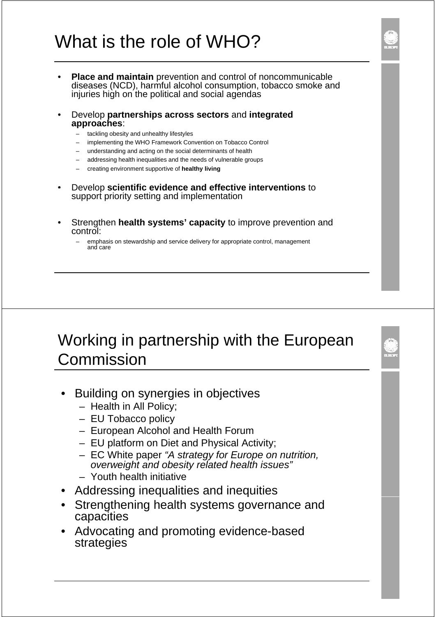# What is the role of WHO?

- **Place and maintain** prevention and control of noncommunicable diseases (NCD), harmful alcohol consumption, tobacco smoke and injuries high on the political and social agendas
- Develop **partnerships across sectors** and **integrated approaches**:
	- tackling obesity and unhealthy lifestyles
	- implementing the WHO Framework Convention on Tobacco Control
	- understanding and acting on the social determinants of health
	- addressing health inequalities and the needs of vulnerable groups
	- creating environment supportive of **healthy living**
- Develop **scientific evidence and effective interventions scientific evidence and effective** to support priority setting and implementation
- **Strengthen health systems' capacity** to improve prevention and control:
	- emphasis on stewardship and service delivery for appropriate control, management and care

## Working in partnership with the European Commission

- **Building on synergies in objectives** 
	- Health in All Policy;
	- EU Tobacco policy
	- $-$  European Alcohol and Health Forum
	- EU platform on Diet and Physical Activity;
	- EC White paper *"A strategy for Europe on nutrition, overwei ht d b it l t d h lth i " ight and obesity related health issues"*
	- Youth health initiative
- Addressing inequalities and inequities
- Strengthening health systems governance and capacities
- Advocating and promoting evidence-based strategies